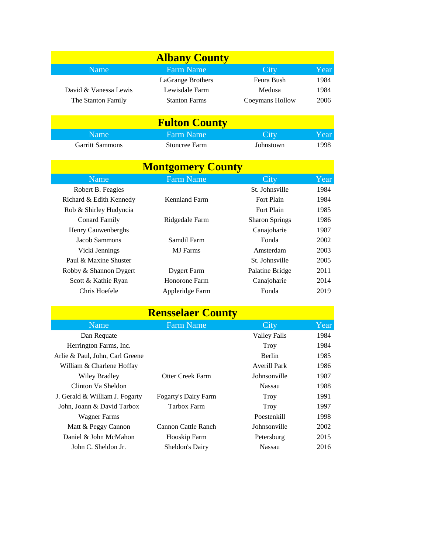| <b>Albany County</b>   |                      |                 |      |  |
|------------------------|----------------------|-----------------|------|--|
| Name                   | <b>Farm Name</b>     | City            | Year |  |
|                        | LaGrange Brothers    | Feura Bush      | 1984 |  |
| David & Vanessa Lewis  | Lewisdale Farm       | Medusa          | 1984 |  |
| The Stanton Family     | <b>Stanton Farms</b> | Coeymans Hollow | 2006 |  |
|                        |                      |                 |      |  |
|                        | <b>Fulton County</b> |                 |      |  |
| Name                   | <b>Farm Name</b>     | City            | Year |  |
| <b>Garritt Sammons</b> | Stoncree Farm        | Johnstown       | 1998 |  |

| <b>Garritt Sammons</b> |
|------------------------|
|------------------------|

| <b>Montgomery County</b> |                    |                       |      |
|--------------------------|--------------------|-----------------------|------|
| Name                     | <b>Farm Name</b>   | City                  | Year |
| Robert B. Feagles        |                    | St. Johnsville        | 1984 |
| Richard & Edith Kennedy  | Kennland Farm      | Fort Plain            | 1984 |
| Rob & Shirley Hudyncia   |                    | Fort Plain            | 1985 |
| Conard Family            | Ridgedale Farm     | <b>Sharon Springs</b> | 1986 |
| Henry Cauwenberghs       |                    | Canajoharie           | 1987 |
| Jacob Sammons            | Samdil Farm        | Fonda                 | 2002 |
| Vicki Jennings           | <b>MJ</b> Farms    | Amsterdam             | 2003 |
| Paul & Maxine Shuster    |                    | St. Johnsville        | 2005 |
| Robby & Shannon Dygert   | <b>Dygert Farm</b> | Palatine Bridge       | 2011 |
| Scott & Kathie Ryan      | Honorone Farm      | Canajoharie           | 2014 |
| Chris Hoefele            | Appleridge Farm    | Fonda                 | 2019 |

| <b>Rensselaer County</b>        |                             |                     |      |  |
|---------------------------------|-----------------------------|---------------------|------|--|
| Name                            | <b>Farm Name</b>            | City                | Year |  |
| Dan Requate                     |                             | <b>Valley Falls</b> | 1984 |  |
| Herrington Farms, Inc.          |                             | <b>Troy</b>         | 1984 |  |
| Arlie & Paul, John, Carl Greene |                             | <b>Berlin</b>       | 1985 |  |
| William & Charlene Hoffay       |                             | Averill Park        | 1986 |  |
| <b>Wiley Bradley</b>            | Otter Creek Farm            | Johnsonville        | 1987 |  |
| Clinton Va Sheldon              |                             | Nassau              | 1988 |  |
| J. Gerald & William J. Fogarty  | <b>Fogarty's Dairy Farm</b> | <b>Troy</b>         | 1991 |  |
| John, Joann & David Tarbox      | Tarbox Farm                 | Troy                | 1997 |  |
| Wagner Farms                    |                             | Poestenkill         | 1998 |  |
| Matt & Peggy Cannon             | Cannon Cattle Ranch         | <b>Johnsonville</b> | 2002 |  |
| Daniel & John McMahon           | Hooskip Farm                | Petersburg          | 2015 |  |
| John C. Sheldon Jr.             | Sheldon's Dairy             | Nassau              | 2016 |  |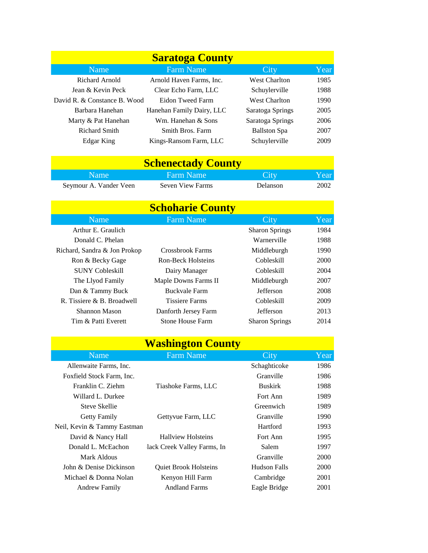| <b>Saratoga County</b>       |                           |                      |      |
|------------------------------|---------------------------|----------------------|------|
| Name                         | <b>Farm Name</b>          | City                 | Year |
| Richard Arnold               | Arnold Haven Farms, Inc.  | <b>West Charlton</b> | 1985 |
| Jean & Kevin Peck            | Clear Echo Farm, LLC      | Schuylerville        | 1988 |
| David R. & Constance B. Wood | Eidon Tweed Farm          | <b>West Charlton</b> | 1990 |
| Barbara Hanehan              | Hanehan Family Dairy, LLC | Saratoga Springs     | 2005 |
| Marty & Pat Hanehan          | Wm. Hanehan & Sons        | Saratoga Springs     | 2006 |
| Richard Smith                | Smith Bros. Farm          | <b>Ballston</b> Spa  | 2007 |
| Edgar King                   | Kings-Ransom Farm, LLC    | Schuylerville        | 2009 |

## **Schenectady County**

| Name '                 | 'Farm Name              | City     | Year |
|------------------------|-------------------------|----------|------|
| Seymour A. Vander Veen | <b>Seven View Farms</b> | Delanson | 2002 |

| <b>Schoharie County</b>      |                         |                       |      |  |
|------------------------------|-------------------------|-----------------------|------|--|
| <b>Name</b>                  | <b>Farm Name</b>        | City                  | Year |  |
| Arthur E. Graulich           |                         | <b>Sharon Springs</b> | 1984 |  |
| Donald C. Phelan             |                         | Warnerville           | 1988 |  |
| Richard, Sandra & Jon Prokop | Crossbrook Farms        | Middleburgh           | 1990 |  |
| Ron & Becky Gage             | Ron-Beck Holsteins      | Cobleskill            | 2000 |  |
| <b>SUNY Cobleskill</b>       | Dairy Manager           | Cobleskill            | 2004 |  |
| The Llyod Family             | Maple Downs Farms II    | Middleburgh           | 2007 |  |
| Dan & Tammy Buck             | <b>Buckvale Farm</b>    | <b>Jefferson</b>      | 2008 |  |
| R. Tissiere & B. Broadwell   | <b>Tissiere Farms</b>   | Cobleskill            | 2009 |  |
| Shannon Mason                | Danforth Jersey Farm    | <b>Jefferson</b>      | 2013 |  |
| Tim & Patti Everett          | <b>Stone House Farm</b> | <b>Sharon Springs</b> | 2014 |  |

| <b>Washington County</b>    |                              |                |      |  |
|-----------------------------|------------------------------|----------------|------|--|
| Name                        | <b>Farm Name</b>             | City           | Year |  |
| Allenwaite Farms, Inc.      |                              | Schaghticoke   | 1986 |  |
| Foxfield Stock Farm, Inc.   |                              | Granville      | 1986 |  |
| Franklin C. Ziehm           | Tiashoke Farms, LLC          | <b>Buskirk</b> | 1988 |  |
| Willard L. Durkee           |                              | Fort Ann       | 1989 |  |
| Steve Skellie               |                              | Greenwich      | 1989 |  |
| Getty Family                | Gettyvue Farm, LLC           | Granville      | 1990 |  |
| Neil, Kevin & Tammy Eastman |                              | Hartford       | 1993 |  |
| David & Nancy Hall          | <b>Hallview Holsteins</b>    | Fort Ann       | 1995 |  |
| Donald L. McEachon          | lack Creek Valley Farms, In  | Salem          | 1997 |  |
| Mark Aldous                 |                              | Granville      | 2000 |  |
| John & Denise Dickinson     | <b>Oujet Brook Holsteins</b> | Hudson Falls   | 2000 |  |
| Michael & Donna Nolan       | Kenyon Hill Farm             | Cambridge      | 2001 |  |
| <b>Andrew Family</b>        | <b>Andland Farms</b>         | Eagle Bridge   | 2001 |  |